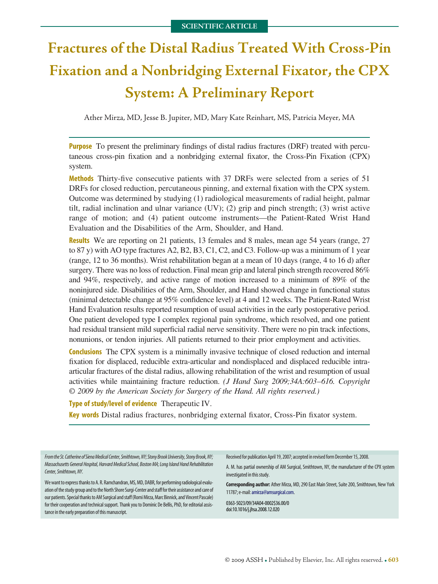# **Fractures of the Distal Radius Treated With Cross-Pin Fixation and a Nonbridging External Fixator, the CPX System: A Preliminary Report**

Ather Mirza, MD, Jesse B. Jupiter, MD, Mary Kate Reinhart, MS, Patricia Meyer, MA

**Purpose** To present the preliminary findings of distal radius fractures (DRF) treated with percutaneous cross-pin fixation and a nonbridging external fixator, the Cross-Pin Fixation (CPX) system.

**Methods** Thirty-five consecutive patients with 37 DRFs were selected from a series of 51 DRFs for closed reduction, percutaneous pinning, and external fixation with the CPX system. Outcome was determined by studying (1) radiological measurements of radial height, palmar tilt, radial inclination and ulnar variance (UV); (2) grip and pinch strength; (3) wrist active range of motion; and (4) patient outcome instruments—the Patient-Rated Wrist Hand Evaluation and the Disabilities of the Arm, Shoulder, and Hand.

**Results** We are reporting on 21 patients, 13 females and 8 males, mean age 54 years (range, 27) to 87 y) with AO type fractures A2, B2, B3, C1, C2, and C3. Follow-up was a minimum of 1 year (range, 12 to 36 months). Wrist rehabilitation began at a mean of 10 days (range, 4 to 16 d) after surgery. There was no loss of reduction. Final mean grip and lateral pinch strength recovered 86% and 94%, respectively, and active range of motion increased to a minimum of 89% of the noninjured side. Disabilities of the Arm, Shoulder, and Hand showed change in functional status (minimal detectable change at 95% confidence level) at 4 and 12 weeks. The Patient-Rated Wrist Hand Evaluation results reported resumption of usual activities in the early postoperative period. One patient developed type I complex regional pain syndrome, which resolved, and one patient had residual transient mild superficial radial nerve sensitivity. There were no pin track infections, nonunions, or tendon injuries. All patients returned to their prior employment and activities.

**Conclusions** The CPX system is a minimally invasive technique of closed reduction and internal fixation for displaced, reducible extra-articular and nondisplaced and displaced reducible intraarticular fractures of the distal radius, allowing rehabilitation of the wrist and resumption of usual activities while maintaining fracture reduction. *(J Hand Surg 2009;34A:603*–*616. Copyright © 2009 by the American Society for Surgery of the Hand. All rights reserved.)*

### **Type of study/level of evidence** Therapeutic IV.

**Key words** Distal radius fractures, nonbridging external fixator, Cross-Pin fixator system.

From the St. Catherine of Siena Medical Center, Smithtown, NY; Stony Brook University, Stony Brook, NY; *Massachusetts General Hospital, Harvard Medical School, Boston MA; Long Island Hand Rehabilitation Center, Smithtown,NY.*

We want to express thanks to A. R. Ramchandran, MS, MD, DABR, for performing radiological evaluation of the study group and to the North Shore Surgi-Center and staff for their assistance and care of our patients. Special thanks to AM Surgical and staff (Romi Mirza, Marc Binnick, and Vincent Pascale) for their cooperation and technical support. Thank you to Dominic De Bellis, PhD, for editorial assistance in the early preparation of this manuscript.

Received for publication April 19, 2007; accepted in revised form December 15, 2008.

A. M. has partial ownership of AM Surgical, Smithtown, NY, the manufacturer of the CPX system investigated in this study.

**Corresponding author:** Ather Mirza, MD, 290 East Main Street, Suite 200, Smithtown, New York 11787; e-mail[:amirza@amsurgical.com.](mailto:amirza@amsurgical.com)

0363-5023/09/34A04-0002\$36.00/0 doi:10.1016/j.jhsa.2008.12.020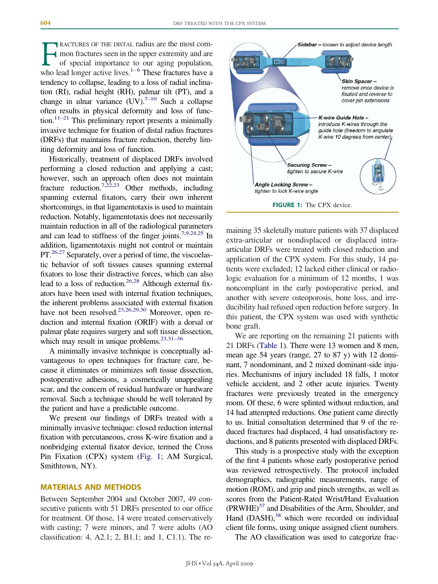**FRACTURES OF THE DISTAL radius are the most com-**<br>mon fractures seen in the upper extremity and are<br>of special importance to our aging population,<br>who lead longer active lives.<sup>1–6</sup> These fractures have a mon fractures seen in the upper extremity and are of special importance to our aging population, tendency to collapse, leading to a loss of radial inclination (RI), radial height (RH), palmar tilt (PT), and a change in ulnar variance  $(UV)^{7-10}$  Such a collapse often results in physical deformity and loss of function.<sup>11–21</sup> This preliminary report presents a minimally invasive technique for fixation of distal radius fractures (DRFs) that maintains fracture reduction, thereby limiting deformity and loss of function.

Historically, treatment of displaced DRFs involved performing a closed reduction and applying a cast; however, such an approach often does not maintain fracture reduction.<sup>7,22,23</sup> Other methods, including spanning external fixators, carry their own inherent shortcomings, in that ligamentotaxis is used to maintain reduction. Notably, ligamentotaxis does not necessarily maintain reduction in all of the radiological parameters and can lead to stiffness of the finger joints.7,9,24,25 In addition, ligamentotaxis might not control or maintain PT.<sup>26,27</sup> Separately, over a period of time, the viscoelastic behavior of soft tissues causes spanning external fixators to lose their distractive forces, which can also lead to a loss of reduction.<sup>26,28</sup> Although external fixators have been used with internal fixation techniques, the inherent problems associated with external fixation have not been resolved.<sup>23,26,29,30</sup> Moreover, open reduction and internal fixation (ORIF) with a dorsal or palmar plate requires surgery and soft tissue dissection, which may result in unique problems.  $23,31-36$ 

A minimally invasive technique is conceptually advantageous to open techniques for fracture care, because it eliminates or minimizes soft tissue dissection, postoperative adhesions, a cosmetically unappealing scar, and the concern of residual hardware or hardware removal. Such a technique should be well tolerated by the patient and have a predictable outcome.

We present our findings of DRFs treated with a minimally invasive technique: closed reduction internal fixation with percutaneous, cross K-wire fixation and a nonbridging external fixator device, termed the Cross Pin Fixation (CPX) system (Fig. 1; AM Surgical, Smithtown, NY).

## **MATERIALS AND METHODS**

Between September 2004 and October 2007, 49 consecutive patients with 51 DRFs presented to our office for treatment. Of those, 14 were treated conservatively with casting; 7 were minors, and 7 were adults (AO classification: 4, A2.1; 2, B1.1; and 1, C1.1). The re-



maining 35 skeletally mature patients with 37 displaced extra-articular or nondisplaced or displaced intraarticular DRFs were treated with closed reduction and application of the CPX system. For this study, 14 patients were excluded; 12 lacked either clinical or radiologic evaluation for a minimum of 12 months, 1 was noncompliant in the early postoperative period, and another with severe osteoporosis, bone loss, and irreducibility had refused open reduction before surgery. In this patient, the CPX system was used with synthetic bone graft.

We are reporting on the remaining 21 patients with 21 DRFs (Table 1). There were 13 women and 8 men, mean age 54 years (range, 27 to 87 y) with 12 dominant, 7 nondominant, and 2 mixed dominant-side injuries. Mechanisms of injury included 18 falls, 1 motor vehicle accident, and 2 other acute injuries. Twenty fractures were previously treated in the emergency room. Of these, 6 were splinted without reduction, and 14 had attempted reductions. One patient came directly to us. Initial consultation determined that 9 of the reduced fractures had displaced, 4 had unsatisfactory reductions, and 8 patients presented with displaced DRFs.

This study is a prospective study with the exception of the first 4 patients whose early postoperative period was reviewed retrospectively. The protocol included demographics, radiographic measurements, range of motion (ROM), and grip and pinch strengths, as well as scores from the Patient-Rated Wrist/Hand Evaluation  $(PRWHE)^{37}$  and Disabilities of the Arm, Shoulder, and Hand  $(DASH)$ , <sup>38</sup> which were recorded on individual client file forms, using unique assigned client numbers.

The AO classification was used to categorize frac-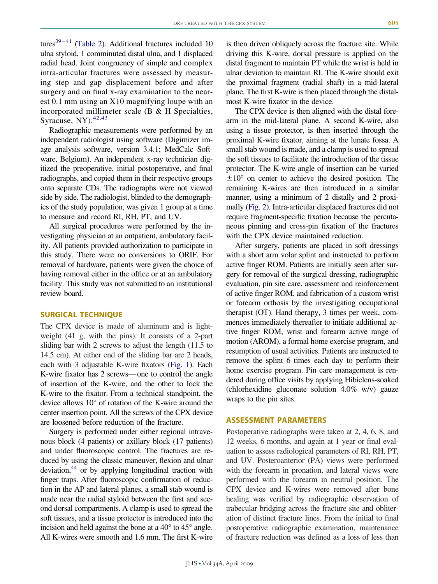tures $39-41$  (Table 2). Additional fractures included 10 ulna styloid, 1 comminuted distal ulna, and 1 displaced radial head. Joint congruency of simple and complex intra-articular fractures were assessed by measuring step and gap displacement before and after surgery and on final x-ray examination to the nearest 0.1 mm using an X10 magnifying loupe with an incorporated millimeter scale (B & H Specialties, Syracuse, NY $)$ .<sup>42,43</sup>

Radiographic measurements were performed by an independent radiologist using software (Digimizer image analysis software, version 3.4.1; MedCalc Software, Belgium). An independent x-ray technician digitized the preoperative, initial postoperative, and final radiographs, and copied them in their respective groups onto separate CDs. The radiographs were not viewed side by side. The radiologist, blinded to the demographics of the study population, was given 1 group at a time to measure and record RI, RH, PT, and UV.

All surgical procedures were performed by the investigating physician at an outpatient, ambulatory facility. All patients provided authorization to participate in this study. There were no conversions to ORIF. For removal of hardware, patients were given the choice of having removal either in the office or at an ambulatory facility. This study was not submitted to an institutional review board.

#### **SURGICAL TECHNIQUE**

The CPX device is made of aluminum and is lightweight (41 g, with the pins). It consists of a 2-part sliding bar with 2 screws to adjust the length (11.5 to 14.5 cm). At either end of the sliding bar are 2 heads, each with 3 adjustable K-wire fixators (Fig. 1). Each K-wire fixator has 2 screws— one to control the angle of insertion of the K-wire, and the other to lock the K-wire to the fixator. From a technical standpoint, the device allows 10° of rotation of the K-wire around the center insertion point. All the screws of the CPX device are loosened before reduction of the fracture.

Surgery is performed under either regional intravenous block (4 patients) or axillary block (17 patients) and under fluoroscopic control. The fractures are reduced by using the classic maneuver, flexion and ulnar deviation,44 or by applying longitudinal traction with finger traps. After fluoroscopic confirmation of reduction in the AP and lateral planes, a small stab wound is made near the radial styloid between the first and second dorsal compartments. A clamp is used to spread the soft tissues, and a tissue protector is introduced into the incision and held against the bone at a 40° to 45° angle. All K-wires were smooth and 1.6 mm. The first K-wire is then driven obliquely across the fracture site. While driving this K-wire, dorsal pressure is applied on the distal fragment to maintain PT while the wrist is held in ulnar deviation to maintain RI. The K-wire should exit the proximal fragment (radial shaft) in a mid-lateral plane. The first K-wire is then placed through the distalmost K-wire fixator in the device.

The CPX device is then aligned with the distal forearm in the mid-lateral plane. A second K-wire, also using a tissue protector, is then inserted through the proximal K-wire fixator, aiming at the lunate fossa. A small stab wound is made, and a clamp is used to spread the soft tissues to facilitate the introduction of the tissue protector. The K-wire angle of insertion can be varied  $\pm 10^{\circ}$  on center to achieve the desired position. The remaining K-wires are then introduced in a similar manner, using a minimum of 2 distally and 2 proximally (Fig. 2). Intra-articular displaced fractures did not require fragment-specific fixation because the percutaneous pinning and cross-pin fixation of the fractures with the CPX device maintained reduction.

After surgery, patients are placed in soft dressings with a short arm volar splint and instructed to perform active finger ROM. Patients are initially seen after surgery for removal of the surgical dressing, radiographic evaluation, pin site care, assessment and reinforcement of active finger ROM, and fabrication of a custom wrist or forearm orthosis by the investigating occupational therapist (OT). Hand therapy, 3 times per week, commences immediately thereafter to initiate additional active finger ROM, wrist and forearm active range of motion (AROM), a formal home exercise program, and resumption of usual activities. Patients are instructed to remove the splint 6 times each day to perform their home exercise program. Pin care management is rendered during office visits by applying Hibiclens-soaked (chlorhexidine gluconate solution 4.0% w/v) gauze wraps to the pin sites.

#### **ASSESSMENT PARAMETERS**

Postoperative radiographs were taken at 2, 4, 6, 8, and 12 weeks, 6 months, and again at 1 year or final evaluation to assess radiological parameters of RI, RH, PT, and UV. Posteroanterior (PA) views were performed with the forearm in pronation, and lateral views were performed with the forearm in neutral position. The CPX device and K-wires were removed after bone healing was verified by radiographic observation of trabecular bridging across the fracture site and obliteration of distinct fracture lines. From the initial to final postoperative radiographic examination, maintenance of fracture reduction was defined as a loss of less than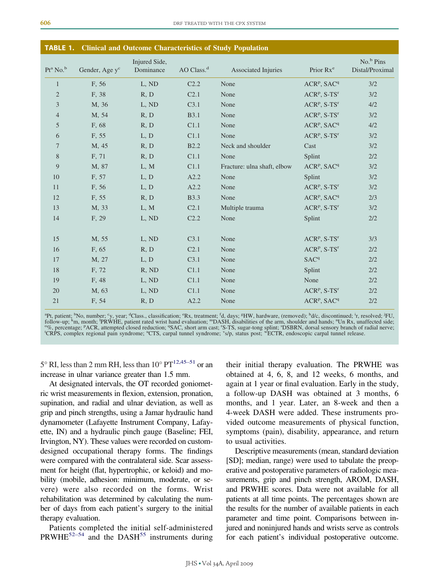| <b>TABLE 1.</b> |                            |                            |                        | <b>Clinical and Outcome Characteristics of Study Population</b> |                                     |                                          |
|-----------------|----------------------------|----------------------------|------------------------|-----------------------------------------------------------------|-------------------------------------|------------------------------------------|
| $Pt^a$ No. $^b$ | Gender, Age y <sup>c</sup> | Injured Side,<br>Dominance | AO Class. <sup>d</sup> | <b>Associated Injuries</b>                                      | Prior Rx <sup>e</sup>               | No. <sup>b</sup> Pins<br>Distal/Proximal |
| $\mathbf{1}$    | F, 56                      | L, ND                      | C <sub>2.2</sub>       | None                                                            | ACR <sup>P</sup> , SAC <sup>q</sup> | 3/2                                      |
| $\overline{2}$  | F, 38                      | R, D                       | C <sub>2.1</sub>       | None                                                            | $ACRp$ , S-TS <sup>r</sup>          | 3/2                                      |
| 3               | M, 36                      | L, ND                      | C3.1                   | None                                                            | $ACRp$ , S-TS <sup>r</sup>          | 4/2                                      |
| $\overline{4}$  | M, 54                      | R, D                       | <b>B3.1</b>            | None                                                            | $ACRp$ , S-TS <sup>r</sup>          | 3/2                                      |
| 5               | F, 68                      | R, D                       | C1.1                   | None                                                            | ACR <sup>P</sup> , SAC <sup>q</sup> | 4/2                                      |
| 6               | F, 55                      | L, D                       | C1.1                   | None                                                            | $ACRp$ , S-TS <sup>r</sup>          | 3/2                                      |
| 7               | M, 45                      | R, D                       | <b>B2.2</b>            | Neck and shoulder                                               | Cast                                | 3/2                                      |
| 8               | F, 71                      | R, D                       | C1.1                   | None                                                            | Splint                              | 2/2                                      |
| 9               | M, 87                      | L, M                       | C1.1                   | Fracture: ulna shaft, elbow                                     | ACR <sup>P</sup> , SAC <sup>q</sup> | 3/2                                      |
| 10              | F, 57                      | L, D                       | A2.2                   | None                                                            | Splint                              | 3/2                                      |
| 11              | F, 56                      | L, D                       | A2.2                   | None                                                            | $ACRp$ , S-TS <sup>r</sup>          | 3/2                                      |
| 12              | F, 55                      | R, D                       | <b>B</b> 3.3           | None                                                            | ACR <sup>P</sup> , SAC <sup>q</sup> | 2/3                                      |
| 13              | M, 33                      | L, M                       | C <sub>2.1</sub>       | Multiple trauma                                                 | $ACRp$ , S-TS <sup>r</sup>          | 3/2                                      |
| 14              | F, 29                      | L, ND                      | C2.2                   | None                                                            | Splint                              | 2/2                                      |
| 15              | M, 55                      | L, ND                      | C3.1                   | None                                                            | $ACRp$ , S-TS <sup>r</sup>          | 3/3                                      |
| 16              | F, 65                      | R, D                       | C <sub>2.1</sub>       | None                                                            | $ACRp$ , S-TS <sup>r</sup>          | 2/2                                      |
| 17              | M, 27                      | L, D                       | C3.1                   | None                                                            | SAC <sup>q</sup>                    | 2/2                                      |
| 18              | F, 72                      | R, ND                      | C1.1                   | None                                                            | Splint                              | 2/2                                      |
| 19              | F, 48                      | L, ND                      | C1.1                   | None                                                            | None                                | 2/2                                      |
| 20              | M, 63                      | L, ND                      | C1.1                   | None                                                            | $ACRp$ , S-TS <sup>r</sup>          | 2/2                                      |
| 21              | F, 54                      | R, D                       | A2.2                   | None                                                            | ACR <sup>P</sup> , SAC <sup>q</sup> | $2/2$                                    |

<sup>a</sup>Pt, patient; <sup>b</sup>No, number; <sup>c</sup>y, year; <sup>d</sup>Class., classification; <sup>e</sup>Rx, treatment; <sup>f</sup>d, days; <sup>g</sup>HW, hardware, (removed); <sup>h</sup>d/c, discontinued; <sup>i</sup>r, resolved; <sup>j</sup>FU, follow-up; <sup>k</sup>m, month; <sup>1</sup>PRWHE, patient rated w follow-up; <sup>k</sup>m, month; <sup>1</sup>PRWHE, patient rated wrist hand evaluation; <sup>m</sup>DASH, disabilities of the arm, shoulder and hands; "Un Rx, unaffected side;<br>"%, percentage; <sup>p</sup>ACR, attempted closed reduction; <sup>q</sup>SAC, short arm ca

 $5^{\circ}$  RI, less than 2 mm RH, less than  $10^{\circ}$  PT<sup>12,45–51</sup> or an increase in ulnar variance greater than 1.5 mm.

At designated intervals, the OT recorded goniometric wrist measurements in flexion, extension, pronation, supination, and radial and ulnar deviation, as well as grip and pinch strengths, using a Jamar hydraulic hand dynamometer (Lafayette Instrument Company, Lafayette, IN) and a hydraulic pinch gauge (Baseline; FEI, Irvington, NY). These values were recorded on customdesigned occupational therapy forms. The findings were compared with the contralateral side. Scar assessment for height (flat, hypertrophic, or keloid) and mobility (mobile, adhesion: minimum, moderate, or severe) were also recorded on the forms. Wrist rehabilitation was determined by calculating the number of days from each patient's surgery to the initial therapy evaluation.

Patients completed the initial self-administered  $PRWHE<sup>52–54</sup>$  and the DASH<sup>55</sup> instruments during

their initial therapy evaluation. The PRWHE was obtained at 4, 6, 8, and 12 weeks, 6 months, and again at 1 year or final evaluation. Early in the study, a follow-up DASH was obtained at 3 months, 6 months, and 1 year. Later, an 8-week and then a 4-week DASH were added. These instruments provided outcome measurements of physical function, symptoms (pain), disability, appearance, and return to usual activities.

Descriptive measurements (mean, standard deviation [SD]; median, range) were used to tabulate the preoperative and postoperative parameters of radiologic measurements, grip and pinch strength, AROM, DASH, and PRWHE scores. Data were not available for all patients at all time points. The percentages shown are the results for the number of available patients in each parameter and time point. Comparisons between injured and noninjured hands and wrists serve as controls for each patient's individual postoperative outcome.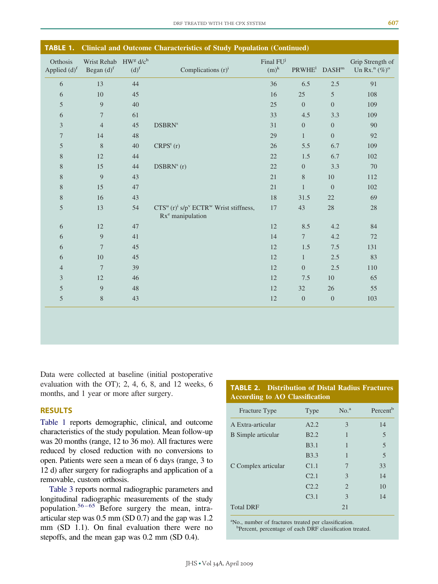| <b>TABLE 1.</b>                      |                                                                          |                    | <b>Clinical and Outcome Characteristics of Study Population (Continued)</b>                                 |                                  |                                             |                  |                                                        |
|--------------------------------------|--------------------------------------------------------------------------|--------------------|-------------------------------------------------------------------------------------------------------------|----------------------------------|---------------------------------------------|------------------|--------------------------------------------------------|
| Orthosis<br>Applied (d) <sup>f</sup> | Wrist Rehab HW <sup>g</sup> d/c <sup>h</sup><br>Began $(d)$ <sup>f</sup> | $(d)$ <sup>f</sup> | Complications $(r)^i$                                                                                       | Final FU <sup>j</sup><br>$(m)^k$ | $\text{PRWHE}^{\text{l}}$ DASH <sup>m</sup> |                  | Grip Strength of<br>Un Rx. <sup>n</sup> $(\%)^{\circ}$ |
| 6                                    | 13                                                                       | 44                 |                                                                                                             | 36                               | 6.5                                         | $2.5\,$          | 91                                                     |
| 6                                    | 10                                                                       | 45                 |                                                                                                             | 16                               | 25                                          | 5                | 108                                                    |
| $\mathfrak s$                        | $\overline{9}$                                                           | 40                 |                                                                                                             | 25                               | $\Omega$                                    | $\overline{0}$   | 109                                                    |
| 6                                    | $\tau$                                                                   | 61                 |                                                                                                             | 33                               | 4.5                                         | 3.3              | 109                                                    |
| $\mathfrak{Z}$                       | $\overline{4}$                                                           | 45                 | <b>DSBRN</b> <sup>s</sup>                                                                                   | 31                               | $\overline{0}$                              | $\boldsymbol{0}$ | 90                                                     |
| $\boldsymbol{7}$                     | 14                                                                       | 48                 |                                                                                                             | 29                               | $\mathbf{1}$                                | $\overline{0}$   | 92                                                     |
| $\mathfrak s$                        | $\,8\,$                                                                  | $40\,$             | $CRPSt$ (r)                                                                                                 | 26                               | 5.5                                         | 6.7              | 109                                                    |
| $8\,$                                | 12                                                                       | 44                 |                                                                                                             | 22                               | 1.5                                         | 6.7              | 102                                                    |
| $8\,$                                | 15                                                                       | 44                 | $DSBRNs$ (r)                                                                                                | 22                               | $\overline{0}$                              | 3.3              | 70                                                     |
| $8\,$                                | $\overline{9}$                                                           | 43                 |                                                                                                             | 21                               | $8\,$                                       | 10               | 112                                                    |
| $8\,$                                | 15                                                                       | 47                 |                                                                                                             | 21                               | $\mathbf{1}$                                | $\boldsymbol{0}$ | 102                                                    |
| $\,$ $\,$                            | 16                                                                       | 43                 |                                                                                                             | 18                               | 31.5                                        | 22               | 69                                                     |
| $\mathfrak s$                        | 13                                                                       | 54                 | $CTSu$ (r) <sup>i</sup> s/p <sup>v</sup> ECTR <sup>w</sup> Wrist stiffness,<br>Rx <sup>e</sup> manipulation | 17                               | 43                                          | $28\,$           | $28\,$                                                 |
| 6                                    | 12                                                                       | 47                 |                                                                                                             | 12                               | 8.5                                         | 4.2              | 84                                                     |
| 6                                    | $\overline{9}$                                                           | 41                 |                                                                                                             | 14                               | $7\overline{ }$                             | 4.2              | $72\,$                                                 |
| 6                                    | $\overline{7}$                                                           | 45                 |                                                                                                             | 12                               | 1.5                                         | $7.5\,$          | 131                                                    |
| 6                                    | 10                                                                       | 45                 |                                                                                                             | 12                               | $\mathbf{1}$                                | 2.5              | 83                                                     |
| $\overline{4}$                       | $7\phantom{.0}$                                                          | 39                 |                                                                                                             | 12                               | $\overline{0}$                              | 2.5              | 110                                                    |
| $\mathfrak{Z}$                       | 12                                                                       | 46                 |                                                                                                             | 12                               | 7.5                                         | 10               | 65                                                     |
| 5                                    | $\overline{9}$                                                           | 48                 |                                                                                                             | 12                               | 32                                          | 26               | 55                                                     |
| $\mathfrak s$                        | 8                                                                        | 43                 |                                                                                                             | 12                               | $\overline{0}$                              | $\boldsymbol{0}$ | 103                                                    |
|                                      |                                                                          |                    |                                                                                                             |                                  |                                             |                  |                                                        |

Data were collected at baseline (initial postoperative evaluation with the OT); 2, 4, 6, 8, and 12 weeks, 6 months, and 1 year or more after surgery.

## **RESULTS**

Table 1 reports demographic, clinical, and outcome characteristics of the study population. Mean follow-up was 20 months (range, 12 to 36 mo). All fractures were reduced by closed reduction with no conversions to open. Patients were seen a mean of 6 days (range, 3 to 12 d) after surgery for radiographs and application of a removable, custom orthosis.

Table 3 reports normal radiographic parameters and longitudinal radiographic measurements of the study population.<sup>56-65</sup> Before surgery the mean, intraarticular step was 0.5 mm (SD 0.7) and the gap was 1.2 mm (SD 1.1). On final evaluation there were no stepoffs, and the mean gap was 0.2 mm (SD 0.4).

## **TABLE 2. Distribution of Distal Radius Fractures According to AO Classification**

| Fracture Type       | Type                    | No. <sup>a</sup> | Percent <sup>b</sup> |
|---------------------|-------------------------|------------------|----------------------|
| A Extra-articular   | A2.2                    | 3                | 14                   |
| B Simple articular  | <b>B2.2</b>             | 1                | 5                    |
|                     | <b>B</b> <sub>3.1</sub> | 1                | 5                    |
|                     | <b>B</b> 3.3            | 1                | 5                    |
| C Complex articular | C1.1                    | 7                | 33                   |
|                     | C <sub>2.1</sub>        | 3                | 14                   |
|                     | C <sub>2.2</sub>        | $\overline{2}$   | 10                   |
|                     | C <sub>3.1</sub>        | 3                | 14                   |
| <b>Total DRF</b>    |                         | 21               |                      |

a No., number of fractures treated per classification.

<sup>b</sup>Percent, percentage of each DRF classification treated.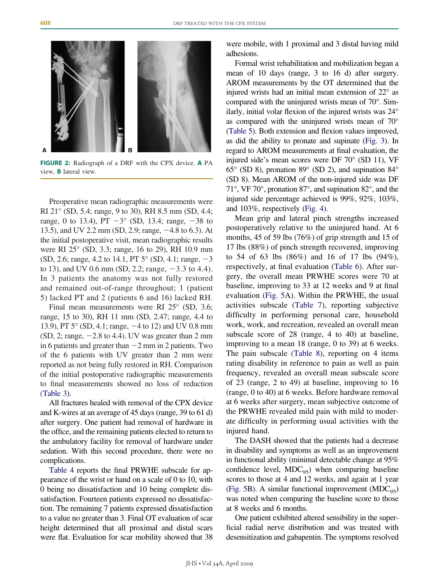

**FIGURE 2:** Radiograph of a DRF with the CPX device. **A** PA view, **B** lateral view.

Preoperative mean radiographic measurements were RI 21° (SD, 5.4; range, 9 to 30), RH 8.5 mm (SD, 4.4; range, 0 to 13.4), PT  $-3^{\circ}$  (SD, 13.4; range,  $-38$  to 13.5), and UV 2.2 mm (SD, 2.9; range,  $-4.8$  to 6.3). At the initial postoperative visit, mean radiographic results were RI 25° (SD, 3.3; range, 16 to 29), RH 10.9 mm  $(SD, 2.6; \text{range}, 4.2 \text{ to } 14.1, PT 5^{\circ} (SD, 4.1; \text{range}, -3)$ to 13), and UV 0.6 mm (SD, 2.2; range,  $-3.3$  to 4.4). In 3 patients the anatomy was not fully restored and remained out-of-range throughout; 1 (patient 5) lacked PT and 2 (patients 6 and 16) lacked RH.

Final mean measurements were RI 25° (SD, 3.6; range, 15 to 30), RH 11 mm (SD, 2.47; range, 4.4 to 13.9), PT 5° (SD, 4.1; range, -4 to 12) and UV 0.8 mm  $(SD, 2; range, -2.8 \text{ to } 4.4)$ . UV was greater than 2 mm in 6 patients and greater than  $-2$  mm in 2 patients. Two of the 6 patients with UV greater than 2 mm were reported as not being fully restored in RH. Comparison of the initial postoperative radiographic measurements to final measurements showed no loss of reduction (Table 3).

All fractures healed with removal of the CPX device and K-wires at an average of 45 days (range, 39 to 61 d) after surgery. One patient had removal of hardware in the office, and the remaining patients elected to return to the ambulatory facility for removal of hardware under sedation. With this second procedure, there were no complications.

Table 4 reports the final PRWHE subscale for appearance of the wrist or hand on a scale of 0 to 10, with 0 being no dissatisfaction and 10 being complete dissatisfaction. Fourteen patients expressed no dissatisfaction. The remaining 7 patients expressed dissatisfaction to a value no greater than 3. Final OT evaluation of scar height determined that all proximal and distal scars were flat. Evaluation for scar mobility showed that 38 were mobile, with 1 proximal and 3 distal having mild adhesions.

Formal wrist rehabilitation and mobilization began a mean of 10 days (range, 3 to 16 d) after surgery. AROM measurements by the OT determined that the injured wrists had an initial mean extension of 22° as compared with the uninjured wrists mean of 70°. Similarly, initial volar flexion of the injured wrists was 24° as compared with the uninjured wrists mean of 70° (Table 5). Both extension and flexion values improved, as did the ability to pronate and supinate (Fig. 3). In regard to AROM measurements at final evaluation, the injured side's mean scores were DF 70° (SD 11), VF 65° (SD 8), pronation 89° (SD 2), and supination 84° (SD 8). Mean AROM of the non-injured side was DF 71°, VF 70°, pronation 87°, and supination 82°, and the injured side percentage achieved is 99%, 92%, 103%, and 103%, respectively (Fig. 4).

Mean grip and lateral pinch strengths increased postoperatively relative to the uninjured hand. At 6 months, 45 of 59 lbs (76%) of grip strength and 15 of 17 lbs (88%) of pinch strength recovered, improving to 54 of 63 lbs (86%) and 16 of 17 lbs (94%), respectively, at final evaluation (Table 6). After surgery, the overall mean PRWHE scores were 70 at baseline, improving to 33 at 12 weeks and 9 at final evaluation (Fig. 5A). Within the PRWHE, the usual activities subscale (Table 7), reporting subjective difficulty in performing personal care, household work, work, and recreation, revealed an overall mean subscale score of 28 (range, 4 to 40) at baseline, improving to a mean 18 (range, 0 to 39) at 6 weeks. The pain subscale (Table 8), reporting on 4 items rating disability in reference to pain as well as pain frequency, revealed an overall mean subscale score of 23 (range, 2 to 49) at baseline, improving to 16 (range, 0 to 40) at 6 weeks. Before hardware removal at 6 weeks after surgery, mean subjective outcome of the PRWHE revealed mild pain with mild to moderate difficulty in performing usual activities with the injured hand.

The DASH showed that the patients had a decrease in disability and symptoms as well as an improvement in functional ability (minimal detectable change at 95% confidence level,  $MDC_{95}$ ) when comparing baseline scores to those at 4 and 12 weeks, and again at 1 year (Fig. 5B). A similar functional improvement  $(MDC_{95})$ was noted when comparing the baseline score to those at 8 weeks and 6 months.

One patient exhibited altered sensibility in the superficial radial nerve distribution and was treated with desensitization and gabapentin. The symptoms resolved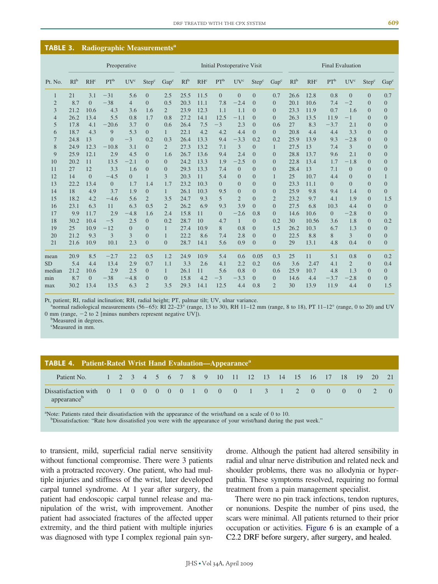| <b>TABLE 3.</b> |                 |                | Radiographic Measurements <sup>a</sup> |                 |                   |                  |                 |                                    |                |                 |                   |                  |                         |        |                |                 |                   |                  |
|-----------------|-----------------|----------------|----------------------------------------|-----------------|-------------------|------------------|-----------------|------------------------------------|----------------|-----------------|-------------------|------------------|-------------------------|--------|----------------|-----------------|-------------------|------------------|
|                 |                 |                | Preoperative                           |                 |                   |                  |                 | <b>Initial Postoperative Visit</b> |                |                 |                   |                  | <b>Final Evaluation</b> |        |                |                 |                   |                  |
| Pt. No.         | RI <sup>b</sup> | $RH^c$         | $PT^b$                                 | UV <sup>c</sup> | Step <sup>c</sup> | Gap <sup>c</sup> | RI <sup>b</sup> | $RH^c$                             | $PT^b$         | UV <sup>c</sup> | Step <sup>c</sup> | Gap <sup>c</sup> | RI <sup>b</sup>         | $RH^c$ | $PT^b$         | UV <sup>c</sup> | Step <sup>c</sup> | Gap <sup>c</sup> |
| 1               | 21              | 3.1            | $-31$                                  | 5.6             | $\overline{0}$    | 2.5              | 25.5            | 11.5                               | $\overline{0}$ | $\overline{0}$  | $\overline{0}$    | 0.7              | 26.6                    | 12.8   | 0.8            | $\Omega$        | $\overline{0}$    | 0.7              |
| $\mathbf{2}$    | 8.7             | $\overline{0}$ | $-38$                                  | $\overline{4}$  | $\Omega$          | 0.5              | 20.3            | 11.1                               | 7.8            | $-2.4$          | $\Omega$          | $\overline{0}$   | 20.1                    | 10.6   | 7.4            | $-2$            | $\overline{0}$    | $\boldsymbol{0}$ |
| 3               | 21.2            | 10.6           | 4.3                                    | 3.6             | 1.6               | $\overline{2}$   | 23.9            | 12.3                               | 1.1            | 1.1             | $\Omega$          | $\Omega$         | 23.3                    | 11.9   | 0.7            | 1.6             | $\Omega$          | $\mathbf{0}$     |
| $\overline{4}$  | 26.2            | 13.4           | 5.5                                    | 0.8             | 1.7               | 0.8              | 27.2            | 14.1                               | 12.5           | $-1.1$          | $\Omega$          | $\Omega$         | 26.3                    | 13.5   | 11.9           | $-1$            | $\Omega$          | $\mathbf{0}$     |
| 5               | 17.8            | 4.1            | $-20.6$                                | 3.7             | $\Omega$          | 0.6              | 26.4            | 7.5                                | $-3$           | 2.3             | $\Omega$          | 0.6              | 27                      | 8.3    | $-3.7$         | 2.1             | $\Omega$          | $\mathbf{0}$     |
| 6               | 18.7            | 4.3            | 9                                      | 5.3             | $\Omega$          | $\mathbf{1}$     | 22.1            | 4.2                                | 4.2            | 4.4             | $\Omega$          | $\Omega$         | 20.8                    | 4.4    | 4.4            | 3.3             | $\Omega$          | $\mathbf{0}$     |
| 7               | 24.8            | 13             | $\overline{0}$                         | $-3$            | 0.2               | 0.3              | 26.4            | 13.3                               | 9.4            | $-3.3$          | 0.2               | 0.2              | 25.9                    | 13.9   | 9.3            | $-2.8$          | $\overline{0}$    | $\mathbf{0}$     |
| 8               | 24.9            | 12.3           | $-10.8$                                | 3.1             | $\overline{0}$    | $\overline{2}$   | 27.3            | 13.2                               | 7.1            | 3               | $\overline{0}$    |                  | 27.5                    | 13     | 7.4            | 3               | $\Omega$          | $\mathbf{0}$     |
| 9               | 25.9            | 12.1           | 2.9                                    | 4.5             | $\Omega$          | 1.6              | 26.7            | 13.6                               | 9.4            | 2.4             | $\Omega$          | $\Omega$         | 28.8                    | 13.7   | 9.6            | 2.1             | $\Omega$          | $\mathbf{0}$     |
| 10              | 20.2            | 11             | 13.5                                   | $-2.1$          | $\Omega$          | $\overline{0}$   | 24.2            | 13.3                               | 1.9            | $-2.5$          | $\Omega$          | $\overline{0}$   | 22.8                    | 13.4   | 1.7            | $-1.8$          | $\Omega$          | $\mathbf{0}$     |
| 11              | 27              | 12             | 3.3                                    | 1.6             | $\Omega$          | $\Omega$         | 29.3            | 13.3                               | 7.4            | $\Omega$        | $\Omega$          | $\Omega$         | 28.4                    | 13     | 7.1            | $\Omega$        | $\Omega$          | $\mathbf{0}$     |
| 12              | 14              | $\overline{0}$ | $-4.5$                                 | $\Omega$        | $\mathbf{1}$      | 3                | 20.3            | 11                                 | 5.4            | $\overline{0}$  | $\boldsymbol{0}$  | 1                | 25                      | 10.7   | 4.4            | $\Omega$        | $\overline{0}$    | $\mathbf{1}$     |
| 13              | 22.2            | 13.4           | $\overline{0}$                         | 1.7             | 1.4               | 1.7              | 23.2            | 10.3                               | $\overline{0}$ | $\Omega$        | $\overline{0}$    | $\overline{0}$   | 23.3                    | 11.1   | $\Omega$       | $\Omega$        | $\overline{0}$    | $\overline{0}$   |
| 14              | 18              | 4.9            | 3.7                                    | 1.9             | $\Omega$          | $\mathbf{1}$     | 26.1            | 10.3                               | 9.5            | $\Omega$        | $\Omega$          | $\Omega$         | 25.9                    | 9.8    | 9.4            | 1.4             | $\Omega$          | $\overline{0}$   |
| 15              | 18.2            | 4.2            | $-4.6$                                 | 5.6             | $\overline{2}$    | 3.5              | 24.7            | 9.3                                | 5              | $\overline{2}$  | $\Omega$          | $\overline{2}$   | 23.2                    | 9.7    | 4.1            | 1.9             | $\Omega$          | 1.5              |
| 16              | 23.1            | 6.3            | 11                                     | 6.3             | 0.5               | $\overline{2}$   | 26.2            | 6.9                                | 9.3            | 3.9             | $\Omega$          | $\Omega$         | 27.5                    | 6.8    | 10.3           | 4.4             | $\Omega$          | $\overline{0}$   |
| 17              | 9.9             | 11.7           | 2.9                                    | $-4.8$          | 1.6               | 2.4              | 15.8            | 11                                 | $\overline{0}$ | $-2.6$          | 0.8               | $\overline{0}$   | 14.6                    | 10.6   | $\overline{0}$ | $-2.8$          | $\overline{0}$    | $\overline{0}$   |
| 18              | 30.2            | 10.4           | $-5$                                   | 2.5             | $\overline{0}$    | 0.2              | 28.7            | 10                                 | 4.7            | $\mathbf{1}$    | $\overline{0}$    | 0.2              | 30                      | 10.56  | 3.6            | 1.8             | $\Omega$          | 0.2              |
| 19              | 25              | 10.9           | $-12$                                  | $\overline{0}$  | $\overline{0}$    | 1                | 27.4            | 10.9                               | 8              | 0.8             | $\overline{0}$    | 1.5              | 26.2                    | 10.3   | 6.7            | 1.3             | $\overline{0}$    | $\overline{0}$   |
| 20              | 21.2            | 9.3            | 3                                      | 3               | $\overline{0}$    | 1                | 22.2            | 8.6                                | 7.4            | 2.8             | $\Omega$          | $\overline{0}$   | 22.5                    | 8.8    | 8              | 3               | $\Omega$          | $\mathbf{0}$     |
| 21              | 21.6            | 10.9           | 10.1                                   | 2.3             | $\Omega$          | $\Omega$         | 28.7            | 14.1                               | 5.6            | 0.9             | $\Omega$          | $\Omega$         | 29                      | 13.1   | 4.8            | 0.4             | $\Omega$          | $\overline{0}$   |
| mean            | 20.9            | 8.5            | $-2.7$                                 | 2.2             | 0.5               | 1.2              | 24.9            | 10.9                               | 5.4            | 0.6             | 0.05              | 0.3              | 25                      | 11     | 5.1            | 0.8             | $\Omega$          | 0.2              |
| <b>SD</b>       | 5.4             | 4.4            | 13.4                                   | 2.9             | 0.7               | 1.1              | 3.3             | 2.6                                | 4.1            | 2.2             | 0.2               | 0.6              | 3.6                     | 2.47   | 4.1            | $\overline{2}$  | $\overline{0}$    | 0.4              |
| median          | 21.2            | 10.6           | 2.9                                    | 2.5             | $\overline{0}$    | $\mathbf{1}$     | 26.1            | 11                                 | 5.6            | 0.8             | $\overline{0}$    | 0.6              | 25.9                    | 10.7   | 4.8            | 1.3             | $\Omega$          | $\overline{0}$   |
| min             | 8.7             | $\overline{0}$ | $-38$                                  | $-4.8$          | $\overline{0}$    | $\overline{0}$   | 15.8            | 4.2                                | $-3$           | $-3.3$          | $\Omega$          | $\Omega$         | 14.6                    | 4.4    | $-3.7$         | $-2.8$          | $\Omega$          | $\overline{0}$   |
| max             | 30.2            | 13.4           | 13.5                                   | 6.3             | $\overline{2}$    | 3.5              | 29.3            | 14.1                               | 12.5           | 4.4             | 0.8               | $\overline{2}$   | 30                      | 13.9   | 11.9           | 4.4             | $\Omega$          | 1.5              |

Pt, patient; RI, radial inclination; RH, radial height; PT, palmar tilt; UV, ulnar variance.

 $n_{\text{normal}}$  radiological measurements (56–65): RI 22–23 $^{\circ}$  (range, 13 to 30), RH 11–12 mm (range, 8 to 18), PT 11–12 $^{\circ}$  (range, 0 to 20) and UV 0 mm (range,  $-2$  to 2 [minus numbers represent negative UV]).

Measured in degrees.

c Measured in mm.

| <b>TABLE 4.</b> Patient-Rated Wrist Hand Evaluation—Appearance <sup>a</sup>     |  |  |  |  |  |  |  |  |  |  |  |
|---------------------------------------------------------------------------------|--|--|--|--|--|--|--|--|--|--|--|
| Patient No. 1 2 3 4 5 6 7 8 9 10 11 12 13 14 15 16 17 18 19 20 21               |  |  |  |  |  |  |  |  |  |  |  |
| Dissatisfaction with 0 1 0 0 0 0 0 1 0 0 0 0 1 3 1 2 0 0 0 0 2 0<br>appearanceb |  |  |  |  |  |  |  |  |  |  |  |

<sup>a</sup>Note: Patients rated their dissatisfaction with the appearance of the wrist/hand on a scale of 0 to 10.

b Dissatisfaction: "Rate how dissatisfied you were with the appearance of your wrist/hand during the past week."

to transient, mild, superficial radial nerve sensitivity without functional compromise. There were 3 patients with a protracted recovery. One patient, who had multiple injuries and stiffness of the wrist, later developed carpal tunnel syndrome. At 1 year after surgery, the patient had endoscopic carpal tunnel release and manipulation of the wrist, with improvement. Another patient had associated fractures of the affected upper extremity, and the third patient with multiple injuries was diagnosed with type I complex regional pain syndrome. Although the patient had altered sensibility in radial and ulnar nerve distribution and related neck and shoulder problems, there was no allodynia or hyperpathia. These symptoms resolved, requiring no formal treatment from a pain management specialist.

There were no pin track infections, tendon ruptures, or nonunions. Despite the number of pins used, the scars were minimal. All patients returned to their prior occupation or activities. Figure 6 is an example of a C2.2 DRF before surgery, after surgery, and healed.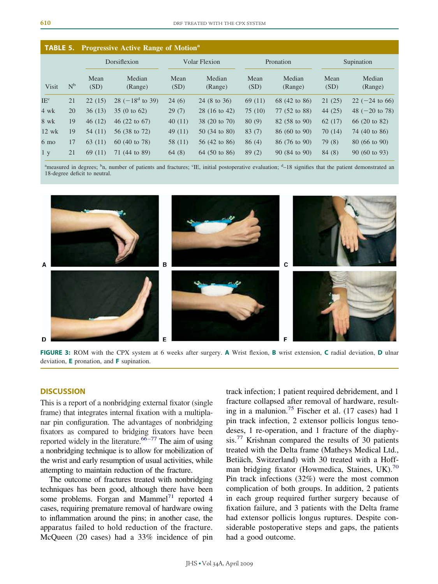| <b>TABLE 5.</b> |       |              | <b>Progressive Active Range of Motion</b> <sup>a</sup> |              |                         |              |                   |              |                           |
|-----------------|-------|--------------|--------------------------------------------------------|--------------|-------------------------|--------------|-------------------|--------------|---------------------------|
|                 |       |              | Dorsiflexion                                           |              | <b>Volar Flexion</b>    |              | Pronation         |              | Supination                |
| Visit           | $N^b$ | Mean<br>(SD) | Median<br>(Range)                                      | Mean<br>(SD) | Median<br>(Range)       | Mean<br>(SD) | Median<br>(Range) | Mean<br>(SD) | Median<br>(Range)         |
| IE <sup>c</sup> | 21    | 22(15)       | $28 (-18^d \text{ to } 39)$                            | 24(6)        | 24 (8 to 36)            | 69(11)       | 68 (42 to 86)     | 21(25)       | $22$ (-24 to 66)          |
| $4 \text{ wk}$  | 20    | 36(13)       | 35 (0 to $62$ )                                        | 29(7)        | 28 (16 to 42)           | 75(10)       | 77 (52 to 88)     | 44(25)       | 48 $(-20 \text{ to } 78)$ |
| 8 wk            | 19    | 46(12)       | 46 $(22 \text{ to } 67)$                               | 40(11)       | 38 (20 to 70)           | 80(9)        | 82 (58 to 90)     | 62(17)       | 66 (20 to 82)             |
| $12$ wk         | 19    | 54 (11)      | 56 (38 to 72)                                          | 49(11)       | 50 (34 to 80)           | 83(7)        | 86 (60 to 90)     | 70(14)       | 74 (40 to 86)             |
| $6 \text{ mo}$  | 17    | 63 (11)      | 60 (40 to 78)                                          | 58 (11)      | $56(42 \text{ to } 86)$ | 86(4)        | 86 (76 to 90)     | 79(8)        | 80 (66 to 90)             |
| 1 <sub>y</sub>  | 21    | 69 (11)      | 71 (44 to 89)                                          | 64(8)        | 64 (50 to 86)           | 89(2)        | 90 (84 to 90)     | 84(8)        | $90(60 \text{ to } 93)$   |

<sup>a</sup>measured in degrees; <sup>b</sup>n, number of patients and fractures; 'IE, initial postoperative evaluation; <sup>d</sup>-18 signifies that the patient demonstrated an 18-degree deficit to neutral.



**FIGURE 3:** ROM with the CPX system at 6 weeks after surgery. **A** Wrist flexion, **B** wrist extension, **C** radial deviation, **D** ulnar deviation, **E** pronation, and **F** supination.

## **DISCUSSION**

This is a report of a nonbridging external fixator (single frame) that integrates internal fixation with a multiplanar pin configuration. The advantages of nonbridging fixators as compared to bridging fixators have been reported widely in the literature.<sup>66-77</sup> The aim of using a nonbridging technique is to allow for mobilization of the wrist and early resumption of usual activities, while attempting to maintain reduction of the fracture.

The outcome of fractures treated with nonbridging techniques has been good, although there have been some problems. Forgan and Mammel $^{71}$  reported 4 cases, requiring premature removal of hardware owing to inflammation around the pins; in another case, the apparatus failed to hold reduction of the fracture. McQueen (20 cases) had a 33% incidence of pin track infection; 1 patient required debridement, and 1 fracture collapsed after removal of hardware, resulting in a malunion.<sup>75</sup> Fischer et al.  $(17 \text{ cases})$  had 1 pin track infection, 2 extensor pollicis longus tenodeses, 1 re-operation, and 1 fracture of the diaphysis.<sup>77</sup> Krishnan compared the results of 30 patients treated with the Delta frame (Matheys Medical Ltd., Betiäch, Switzerland) with 30 treated with a Hoffman bridging fixator (Howmedica, Staines, UK). $^{70}$ Pin track infections (32%) were the most common complication of both groups. In addition, 2 patients in each group required further surgery because of fixation failure, and 3 patients with the Delta frame had extensor pollicis longus ruptures. Despite considerable postoperative steps and gaps, the patients had a good outcome.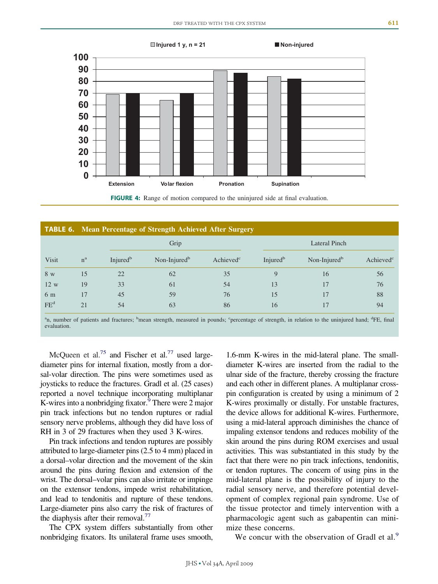

**FIGURE 4:** Range of motion compared to the uninjured side at final evaluation.

|                 |             |                      | <b>TABLE 6.</b> Mean Percentage of Strength Achieved After Surgery |                       |                      |                          |                       |  |  |  |
|-----------------|-------------|----------------------|--------------------------------------------------------------------|-----------------------|----------------------|--------------------------|-----------------------|--|--|--|
|                 |             |                      | Grip                                                               |                       | Lateral Pinch        |                          |                       |  |  |  |
| <b>Visit</b>    | $n^{\rm a}$ | Injured <sup>b</sup> | Non-Injured <sup>b</sup>                                           | Achieved <sup>c</sup> | Injured <sup>b</sup> | Non-Injured <sup>b</sup> | Achieved <sup>c</sup> |  |  |  |
| 8 w             | 15          | 22                   | 62                                                                 | 35                    | $\mathbf Q$          | 16                       | 56                    |  |  |  |
| 12 w            | 19          | 33                   | 61                                                                 | 54                    | 13                   | 17                       | 76                    |  |  |  |
| 6 m             | 17          | 45                   | 59                                                                 | 76                    | 15                   | 17                       | 88                    |  |  |  |
| FE <sup>d</sup> | 21          | 54                   | 63                                                                 | 86                    | 16                   | 17                       | 94                    |  |  |  |

<sup>a</sup>n, number of patients and fractures; <sup>b</sup>mean strength, measured in pounds; <sup>c</sup>percentage of strength, in relation to the uninjured hand; <sup>d</sup>FE, final evaluation.

McQueen et al.<sup>75</sup> and Fischer et al.<sup>77</sup> used largediameter pins for internal fixation, mostly from a dorsal-volar direction. The pins were sometimes used as joysticks to reduce the fractures. Gradl et al. (25 cases) reported a novel technique incorporating multiplanar K-wires into a nonbridging fixator. $9$  There were 2 major pin track infections but no tendon ruptures or radial sensory nerve problems, although they did have loss of RH in 3 of 29 fractures when they used 3 K-wires.

Pin track infections and tendon ruptures are possibly attributed to large-diameter pins (2.5 to 4 mm) placed in a dorsal–volar direction and the movement of the skin around the pins during flexion and extension of the wrist. The dorsal–volar pins can also irritate or impinge on the extensor tendons, impede wrist rehabilitation, and lead to tendonitis and rupture of these tendons. Large-diameter pins also carry the risk of fractures of the diaphysis after their removal.<sup>77</sup>

The CPX system differs substantially from other nonbridging fixators. Its unilateral frame uses smooth, 1.6-mm K-wires in the mid-lateral plane. The smalldiameter K-wires are inserted from the radial to the ulnar side of the fracture, thereby crossing the fracture and each other in different planes. A multiplanar crosspin configuration is created by using a minimum of 2 K-wires proximally or distally. For unstable fractures, the device allows for additional K-wires. Furthermore, using a mid-lateral approach diminishes the chance of impaling extensor tendons and reduces mobility of the skin around the pins during ROM exercises and usual activities. This was substantiated in this study by the fact that there were no pin track infections, tendonitis, or tendon ruptures. The concern of using pins in the mid-lateral plane is the possibility of injury to the radial sensory nerve, and therefore potential development of complex regional pain syndrome. Use of the tissue protector and timely intervention with a pharmacologic agent such as gabapentin can minimize these concerns.

We concur with the observation of Gradl et al.<sup>9</sup>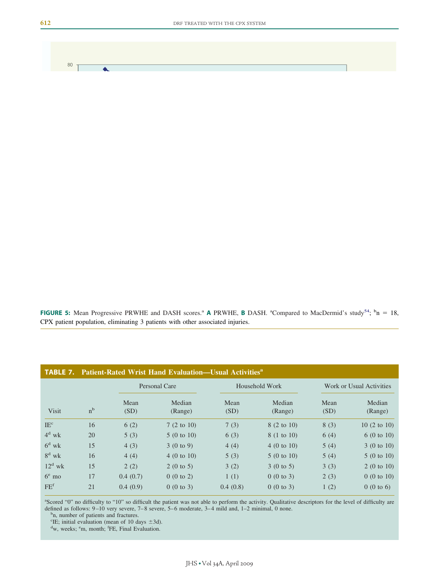**FIGURE 5:** Mean Progressive PRWHE and DASH scores.<sup>a</sup> A PRWHE, **B** DASH. <sup>a</sup>Compared to MacDermid's study<sup>54</sup>;  $^b$ n = 18, CPX patient population, eliminating 3 patients with other associated injuries.

| <b>TABLE 7.</b> |                |              | <b>Patient-Rated Wrist Hand Evaluation—Usual Activities</b> <sup>a</sup> |                |                       |                          |                       |
|-----------------|----------------|--------------|--------------------------------------------------------------------------|----------------|-----------------------|--------------------------|-----------------------|
|                 |                |              | Personal Care                                                            | Household Work |                       | Work or Usual Activities |                       |
| <b>Visit</b>    | n <sup>b</sup> | Mean<br>(SD) | Median<br>(Range)                                                        | Mean<br>(SD)   | Median<br>(Range)     | Mean<br>(SD)             | Median<br>(Range)     |
| IE <sup>c</sup> | 16             | 6(2)         | $7(2 \text{ to } 10)$                                                    | 7(3)           | 8 (2 to 10)           | 8(3)                     | 10(2 to 10)           |
| $4^d$ wk        | 20             | 5(3)         | $5(0 \text{ to } 10)$                                                    | 6(3)           | 8 (1 to 10)           | 6(4)                     | 6(0 to 10)            |
| $6^d$ wk        | 15             | 4(3)         | 3(0 to 9)                                                                | 4(4)           | $4(0 \text{ to } 10)$ | 5(4)                     | 3(0 to 10)            |
| $8^d$ wk        | 16             | 4(4)         | $4(0 \text{ to } 10)$                                                    | 5(3)           | 5(0 to 10)            | 5(4)                     | $5(0 \text{ to } 10)$ |
| $12^d$ wk       | 15             | 2(2)         | $2(0 \text{ to } 5)$                                                     | 3(2)           | $3(0 \text{ to } 5)$  | 3(3)                     | 2(0 to 10)            |
| $6^e$ mo        | 17             | 0.4(0.7)     | 0(0 to 2)                                                                | 1(1)           | 0(0 to 3)             | 2(3)                     | 0(0 to 10)            |
| FE <sup>f</sup> | 21             | 0.4(0.9)     | $0(0 \text{ to } 3)$                                                     | 0.4(0.8)       | 0(0 to 3)             | 1(2)                     | 0(0 to 6)             |

a Scored "0" no difficulty to "10" so difficult the patient was not able to perform the activity. Qualitative descriptors for the level of difficulty are defined as follows: 9-10 very severe, 7-8 severe, 5-6 moderate, 3-4 mild and, 1-2 minimal, 0 none.

<sup>b</sup>n, number of patients and fractures.

<sup>c</sup>IE; initial evaluation (mean of 10 days  $\pm$ 3d).

w, weeks; <sup>e</sup>m, month; <sup>f</sup>FE, Final Evaluation.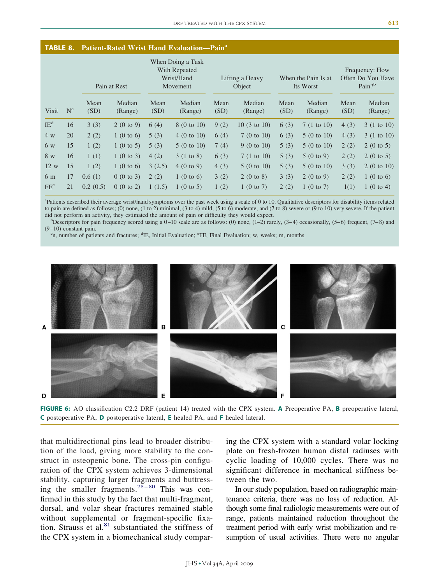| <b>TABLE 8.</b> Patient-Rated Wrist Hand Evaluation—Pain <sup>a</sup> |  |  |
|-----------------------------------------------------------------------|--|--|
|                                                                       |  |  |

|                 |       |              | Pain at Rest         |              | When Doing a Task<br>With Repeated<br>Wrist/Hand<br>Movement |              | Lifting a Heavy<br>Object |              | When the Pain Is at<br>Its Worst |              | Frequency: How<br>Often Do You Have<br>Pain? $b$ |
|-----------------|-------|--------------|----------------------|--------------|--------------------------------------------------------------|--------------|---------------------------|--------------|----------------------------------|--------------|--------------------------------------------------|
| <b>Visit</b>    | $N^c$ | Mean<br>(SD) | Median<br>(Range)    | Mean<br>(SD) | Median<br>(Range)                                            | Mean<br>(SD) | Median<br>(Range)         | Mean<br>(SD) | Median<br>(Range)                | Mean<br>(SD) | Median<br>(Range)                                |
| $IE^d$          | 16    | 3(3)         | 2(0 to 9)            | 6(4)         | 8 (0 to 10)                                                  | 9(2)         | $10(3 \text{ to } 10)$    | 6(3)         | $7(1 \text{ to } 10)$            | 4(3)         | $3(1 \text{ to } 10)$                            |
| 4 w             | 20    | 2(2)         | 1 (0 to 6)           | 5(3)         | $4(0 \text{ to } 10)$                                        | 6(4)         | 7(0 to 10)                | 6(3)         | $5(0 \text{ to } 10)$            | 4(3)         | $3(1 \text{ to } 10)$                            |
| 6 w             | 15    | 1(2)         | $1(0 \text{ to } 5)$ | 5(3)         | 5(0 to 10)                                                   | 7(4)         | $9(0 \text{ to } 10)$     | 5(3)         | 5(0 to 10)                       | 2(2)         | $2(0 \text{ to } 5)$                             |
| 8 w             | 16    | 1(1)         | 1(0 to 3)            | 4(2)         | 3(1 to 8)                                                    | 6(3)         | $7(1 \text{ to } 10)$     | 5(3)         | 5(0 to 9)                        | 2(2)         | $2(0 \text{ to } 5)$                             |
| 12 w            | 15    | 1(2)         | $1(0 \text{ to } 6)$ | 3(2.5)       | 4(0 to 9)                                                    | 4(3)         | 5(0 to 10)                | 5(3)         | 5(0 to 10)                       | 3(3)         | 2(0 to 10)                                       |
| 6 m             | 17    | 0.6(1)       | 0(0 to 3)            | 2(2)         | 1 (0 to 6)                                                   | 3(2)         | 2(0 to 8)                 | 3(3)         | 2(0 to 9)                        | 2(2)         | 1(0 to 6)                                        |
| FE <sup>e</sup> | 21    | 0.2(0.5)     | 0(0 to 2)            | 1(1.5)       | $1(0 \text{ to } 5)$                                         | 1(2)         | 1(0 to 7)                 | 2(2)         | 1(0 to 7)                        | 1(1)         | $1(0 \text{ to } 4)$                             |

a Patients described their average wrist/hand symptoms over the past week using a scale of 0 to 10. Qualitative descriptors for disability items related to pain are defined as follows; (0) none, (1 to 2) minimal, (3 to 4) mild, (5 to 6) moderate, and (7 to 8) severe or (9 to 10) very severe. If the patient did not perform an activity, they estimated the amount of pain or difficulty they would expect. <sup>b</sup>

Descriptors for pain frequency scored using a  $0-10$  scale are as follows: (0) none, (1–2) rarely, (3–4) occasionally, (5–6) frequent, (7–8) and  $(9-10)$  constant pain.

n, number of patients and fractures; <sup>d</sup>IE, Initial Evaluation; <sup>e</sup>FE, Final Evaluation; w, weeks; m, months.



**FIGURE 6:** AO classification C2.2 DRF (patient 14) treated with the CPX system. **A** Preoperative PA, **B** preoperative lateral, **C** postoperative PA, **D** postoperative lateral, **E** healed PA, and **F** healed lateral.

that multidirectional pins lead to broader distribution of the load, giving more stability to the construct in osteopenic bone. The cross-pin configuration of the CPX system achieves 3-dimensional stability, capturing larger fragments and buttressing the smaller fragments.<sup>78-80</sup> This was confirmed in this study by the fact that multi-fragment, dorsal, and volar shear fractures remained stable without supplemental or fragment-specific fixation. Strauss et al. $81$  substantiated the stiffness of the CPX system in a biomechanical study comparing the CPX system with a standard volar locking plate on fresh-frozen human distal radiuses with cyclic loading of 10,000 cycles. There was no significant difference in mechanical stiffness between the two.

In our study population, based on radiographic maintenance criteria, there was no loss of reduction. Although some final radiologic measurements were out of range, patients maintained reduction throughout the treatment period with early wrist mobilization and resumption of usual activities. There were no angular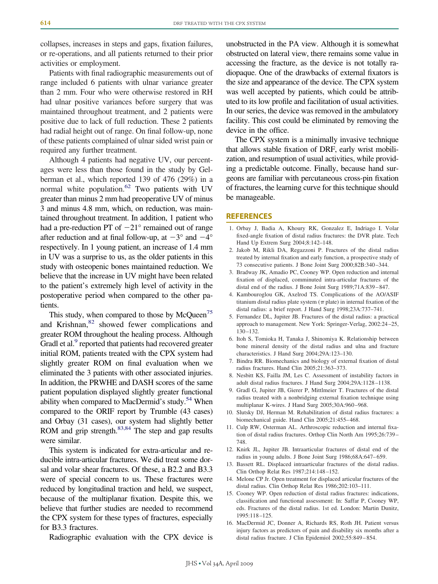collapses, increases in steps and gaps, fixation failures, or re-operations, and all patients returned to their prior activities or employment.

Patients with final radiographic measurements out of range included 6 patients with ulnar variance greater than 2 mm. Four who were otherwise restored in RH had ulnar positive variances before surgery that was maintained throughout treatment, and 2 patients were positive due to lack of full reduction. These 2 patients had radial height out of range. On final follow-up, none of these patients complained of ulnar sided wrist pain or required any further treatment.

Although 4 patients had negative UV, our percentages were less than those found in the study by Gelberman et al., which reported 139 of 476 (29%) in a normal white population.<sup>62</sup> Two patients with UV greater than minus 2 mm had preoperative UV of minus 3 and minus 4.8 mm, which, on reduction, was maintained throughout treatment. In addition, 1 patient who had a pre-reduction PT of  $-21^{\circ}$  remained out of range after reduction and at final follow-up, at  $-3^{\circ}$  and  $-4^{\circ}$ respectively. In 1 young patient, an increase of 1.4 mm in UV was a surprise to us, as the older patients in this study with osteopenic bones maintained reduction. We believe that the increase in UV might have been related to the patient's extremely high level of activity in the postoperative period when compared to the other patients.

This study, when compared to those by  $McQueen<sup>75</sup>$ and Krishnan,<sup>82</sup> showed fewer complications and greater ROM throughout the healing process. Although Gradl et al.<sup>9</sup> reported that patients had recovered greater initial ROM, patients treated with the CPX system had slightly greater ROM on final evaluation when we eliminated the 3 patients with other associated injuries. In addition, the PRWHE and DASH scores of the same patient population displayed slightly greater functional ability when compared to MacDermid's study.<sup>54</sup> When compared to the ORIF report by Trumble (43 cases) and Orbay (31 cases), our system had slightly better ROM and grip strength. $83,84$  The step and gap results were similar.

This system is indicated for extra-articular and reducible intra-articular fractures. We did treat some dorsal and volar shear fractures. Of these, a B2.2 and B3.3 were of special concern to us. These fractures were reduced by longitudinal traction and held, we suspect, because of the multiplanar fixation. Despite this, we believe that further studies are needed to recommend the CPX system for these types of fractures, especially for B3.3 fractures.

Radiographic evaluation with the CPX device is

unobstructed in the PA view. Although it is somewhat obstructed on lateral view, there remains some value in accessing the fracture, as the device is not totally radiopaque. One of the drawbacks of external fixators is the size and appearance of the device. The CPX system was well accepted by patients, which could be attributed to its low profile and facilitation of usual activities. In our series, the device was removed in the ambulatory facility. This cost could be eliminated by removing the device in the office.

The CPX system is a minimally invasive technique that allows stable fixation of DRF, early wrist mobilization, and resumption of usual activities, while providing a predictable outcome. Finally, because hand surgeons are familiar with percutaneous cross-pin fixation of fractures, the learning curve for this technique should be manageable.

#### **REFERENCES**

- 1. Orbay J, Badia A, Khoury RK, Gonzalez E, Indriago I. Volar fixed-angle fixation of distal radius fractures: the DVR plate. Tech Hand Up Extrem Surg 2004;8:142–148.
- 2. Jakob M, Rikli DA, Regazzoni P. Fractures of the distal radius treated by internal fixation and early function, a prospective study of 73 consecutive patients. J Bone Joint Surg 2000;82B:340 –344.
- 3. Bradway JK, Amadio PC, Cooney WP. Open reduction and internal fixation of displaced, comminuted intra-articular fractures of the distal end of the radius. J Bone Joint Surg 1989;71A:839 – 847.
- 4. Kambouroglou GK, Axelrod TS. Complications of the AO/ASIF titanium distal radius plate system ( $\pi$  plate) in internal fixation of the distal radius: a brief report. J Hand Surg 1998;23A:737–741.
- 5. Fernandez DL, Jupiter JB. Fractures of the distal radius: a practical approach to management. New York: Springer-Verlag, 2002:24 –25, 130 –132.
- 6. Itoh S, Tomioka H, Tanaka J, Shinomiya K. Relationship between bone mineral density of the distal radius and ulna and fracture characteristics. J Hand Surg 2004;29A:123–130.
- 7. Bindra RR. Biomechanics and biology of external fixation of distal radius fractures. Hand Clin 2005;21:363–373.
- 8. Nesbitt KS, Failla JM, Les C. Assessment of instability factors in adult distal radius fractures. J Hand Surg 2004;29A:1128 –1138.
- 9. Gradl G, Jupiter JB, Gierer P, Mittlmeier T. Fractures of the distal radius treated with a nonbridging external fixation technique using multiplanar K-wires. J Hand Surg 2005;30A:960 –968.
- 10. Slutsky DJ, Herman M. Rehabilitation of distal radius fractures: a biomechanical guide. Hand Clin 2005;21:455– 468.
- 11. Culp RW, Osterman AL. Arthroscopic reduction and internal fixation of distal radius fractures. Orthop Clin North Am 1995;26:739 – 748.
- 12. Knirk JL, Jupiter JB. Intraarticular fractures of distal end of the radius in young adults. J Bone Joint Surg 1986;68A:647– 659.
- 13. Bassett RL. Displaced intraarticular fractures of the distal radius. Clin Orthop Relat Res 1987;214:148 –152.
- 14. Melone CP Jr. Open treatment for displaced articular fractures of the distal radius. Clin Orthop Relat Res 1986;202:103–111.
- 15. Cooney WP. Open reduction of distal radius fractures: indications, classification and functional assessment: In: Saffar P, Cooney WP, eds. Fractures of the distal radius. 1st ed. London: Martin Dunitz, 1995:118 –125.
- 16. MacDermid JC, Donner A, Richards RS, Roth JH. Patient versus injury factors as predictors of pain and disability six months after a distal radius fracture. J Clin Epidemiol 2002;55:849 – 854.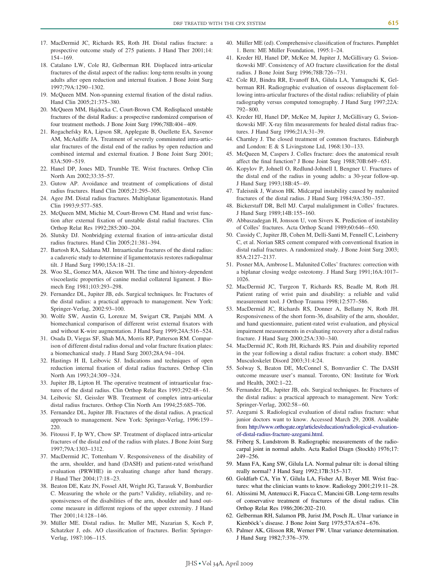- 17. MacDermid JC, Richards RS, Roth JH. Distal radius fracture: a prospective outcome study of 275 patients. J Hand Ther 2001;14: 154 –169.
- 18. Catalano LW, Cole RJ, Gelberman RH. Displaced intra-articular fractures of the distal aspect of the radius: long-term results in young adults after open reduction and internal fixation. J Bone Joint Surg 1997;79A:1290 –1302.
- 19. McQueen MM. Non-spanning external fixation of the distal radius. Hand Clin 2005;21:375–380.
- 20. McQueen MM, Hajducka C, Court-Brown CM. Redisplaced unstable fractures of the distal Radius: a prospective randomized comparison of four treatment methods. J Bone Joint Surg 1996;78B:404 – 409.
- 21. Rogachefsky RA, Lipson SR, Applegate B, Ouellette EA, Savenor AM, McAuliffe JA. Treatment of severely comminuted intra-articular fractures of the distal end of the radius by open reduction and combined internal and external fixation. J Bone Joint Surg 2001; 83A:509 –519.
- 22. Hanel DP, Jones MD, Trumble TE. Wrist fractures. Orthop Clin North Am 2002;33:35–57.
- 23. Gutow AP. Avoidance and treatment of complications of distal radius fractures. Hand Clin 2005;21:295–305.
- 24. Agee JM. Distal radius fractures. Multiplanar ligamentotaxis. Hand Clin 1993;9:577–585.
- 25. McQueen MM, Michie M, Court-Brown CM. Hand and wrist function after external fixation of unstable distal radial fractures. Clin Orthop Relat Res 1992;285:200 –204.
- 26. Slutsky DJ. Nonbridging external fixation of intra-articular distal radius fractures. Hand Clin 2005;21:381–394.
- 27. Bartosh RA, Saldana MJ. Intraarticular fractures of the distal radius: a cadaveric study to determine if ligamentotaxis restores radiopalmar tilt. J Hand Surg 1990;15A:18 –21.
- 28. Woo SL, Gomez MA, Akeson WH. The time and history-dependent viscoelastic properties of canine medial collateral ligament. J Biomech Eng 1981;103:293–298.
- 29. Fernandez DL, Jupiter JB, eds. Surgical techniques. In: Fractures of the distal radius: a practical approach to management. New York: Springer-Verlag, 2002:93–100.
- 30. Wolfe SW, Austin G, Lorenze M, Swigart CR, Panjabi MM. A biomechanical comparison of different wrist external fixators with and without K-wire augmentation. J Hand Surg 1999;24A:516 –524.
- 31. Osada D, Viegas SF, Shah MA, Morris RP, Patterson RM. Comparison of different distal radius dorsal and volar fracture fixation plates: a biomechanical study. J Hand Surg 2003;28A:94 –104.
- 32. Hastings H II, Leibovic SJ. Indications and techniques of open reduction internal fixation of distal radius fractures. Orthop Clin North Am 1993;24:309 –324.
- 33. Jupiter JB, Lipton H. The operative treatment of intraarticular fractures of the distal radius. Clin Orthop Relat Res 1993;292:48–61.
- 34. Leibovic SJ, Geissler WB. Treatment of complex intra-articular distal radius fractures. Orthop Clin North Am 1994;25:685–706.
- 35. Fernandez DL, Jupiter JB. Fractures of the distal radius. A practical approach to management. New York: Springer-Verlag, 1996:159 – 220.
- 36. Fitoussi F, Ip WY, Chow SP. Treatment of displaced intra-articular fractures of the distal end of the radius with plates. J Bone Joint Surg 1997;79A:1303–1312.
- 37. MacDermid JC, Tottenham V. Responsiveness of the disability of the arm, shoulder, and hand (DASH) and patient-rated wrist/hand evaluation (PRWHE) in evaluating change after hand therapy. J Hand Ther 2004;17:18 –23.
- 38. Beaton DE, Katz JN, Fossel AH, Wright JG, Tarasuk V, Bombardier C. Measuring the whole or the parts? Validity, reliability, and responsiveness of the disabilities of the arm, shoulder and hand outcome measure in different regions of the upper extremity. J Hand Ther 2001;14:128 –146.
- 39. Müller ME. Distal radius. In: Muller ME, Nazarian S, Koch P, Schatzker J, eds. AO classification of fractures. Berlin: Springer-Verlag, 1987:106 –115.
- 40. Müller ME (ed). Comprehensive classification of fractures. Pamphlet 1. Bern: ME Müller Foundation, 1995:1–24.
- 41. Kreder HJ, Hanel DP, McKee M, Jupiter J, McGillivary G. Swiontkowski MF. Consistency of AO fracture classification for the distal radius. J Bone Joint Surg 1996;78B:726 –731.
- 42. Cole RJ, Bindra RR, Evanoff BA, Gilula LA, Yamaguchi K, Gelberman RH. Radiographic evaluation of osseous displacement following intra-articular fractures of the distal radius: reliability of plain radiography versus computed tomography. J Hand Surg 1997;22A: 792– 800.
- 43. Kreder HJ, Hanel DP, McKee M, Jupiter J, McGillivary G, Swiontkowski MF. X-ray film measurements for healed distal radius fractures. J Hand Surg 1996;21A:31–39.
- 44. Charnley J. The closed treatment of common fractures. Edinburgh and London: E & S Livingstone Ltd, 1968:130-133.
- 45. McQueen M, Caspers J. Colles fracture: does the anatomical result affect the final function? J Bone Joint Surg 1988;70B:649 – 651.
- 46. Kopylov P, Johnell O, Redlund-Johnell I, Bengner U. Fractures of the distal end of the radius in young adults: a 30-year follow-up. J Hand Surg 1993;18B:45– 49.
- 47. Taleisnik J, Watson HK. Midcarpal instability caused by malunited fractures of the distal radius. J Hand Surg 1984;9A:350 –357.
- 48. Bickerstaff DR, Bell MJ. Carpal malalignment in Colles' fractures. J Hand Surg 1989;14B:155–160.
- 49. Abbaszadegan H, Jonsson U, von Sivers K. Prediction of instability of Colles' fractures. Acta Orthop Scand 1989;60:646 – 650.
- 50. Cassidy C, Jupiter JB, Cohen M, Delli-Santi M, Fennell C, Leinberry C, et al. Norian SRS cement compared with conventional fixation in distal radial fractures. A randomized study. J Bone Joint Surg 2003; 85A:2127–2137.
- 51. Posner MA, Ambrose L. Malunited Colles' fractures: correction with a biplanar closing wedge osteotomy. J Hand Surg 1991;16A:1017– 1026.
- 52. MacDermid JC, Turgeon T, Richards RS, Beadle M, Roth JH. Patient rating of wrist pain and disability: a reliable and valid measurement tool. J Orthop Trauma 1998;12:577–586.
- 53. MacDermid JC, Richards RS, Donner A, Bellamy N, Roth JH. Responsiveness of the short form-36, disability of the arm, shoulder, and hand questionnaire, patient-rated wrist evaluation, and physical impairment measurements in evaluating recovery after a distal radius fracture. J Hand Surg 2000;25A:330 –340.
- 54. MacDermid JC, Roth JH, Richards RS. Pain and disability reported in the year following a distal radius fracture: a cohort study. BMC Musculoskelet Disord 2003;31:4:24.
- 55. Solway S, Beaton DE, McConnel S, Bomvardier C. The DASH outcome measure user's manual. Toronto, ON: Institute for Work and Health, 2002:1–22.
- 56. Fernandez DL, Jupiter JB, eds. Surgical techniques. In: Fractures of the distal radius: a practical approach to management. New York: Springer-Verlag, 2002:58 – 60.
- 57. Azegami S. Radiological evaluation of distal radius fracture: what junior doctors want to know. Accessed March 29, 2008. Available from [http://www.orthogate.org/articles/education/radiological-evaluation](http://www.orthogate.org/articles/education/radiological-evaluation-of-distal-radius-fracture-azegami.html)[of-distal-radius-fracture-azegami.html.](http://www.orthogate.org/articles/education/radiological-evaluation-of-distal-radius-fracture-azegami.html)
- 58. Friberg S, Lundstrom B. Radiographic measurements of the radiocarpal joint in normal adults. Acta Radiol Diagn (Stockh) 1976;17: 249 –256.
- 59. Mann FA, Kang SW, Gilula LA. Normal palmar tilt: is dorsal tilting really normal? J Hand Surg 1992;17B:315–317.
- 60. Goldfarb CA, Yin Y, Gilula LA, Fisher AJ, Boyer MI. Wrist fractures: what the clinician wants to know. Radiology 2001;219:11–28.
- 61. Altissimi M, Antenucci R, Fiacca C, Mancini GB. Long-term results of conservative treatment of fractures of the distal radius. Clin Orthop Relat Res 1986;206:202–210.
- 62. Gelberman RH, Salamon PB, Jurist JM, Posch JL. Ulnar variance in Kienböck's disease. J Bone Joint Surg 1975;57A:674 – 676.
- 63. Palmer AK, Glisson RR, Werner FW. Ulnar variance determination. J Hand Surg 1982;7:376 –379.